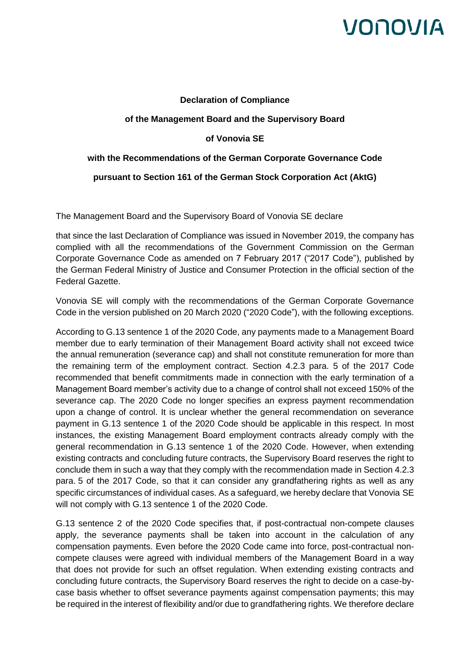# VONOVIA

## **Declaration of Compliance**

### **of the Management Board and the Supervisory Board**

## **of Vonovia SE**

### **with the Recommendations of the German Corporate Governance Code**

### **pursuant to Section 161 of the German Stock Corporation Act (AktG)**

The Management Board and the Supervisory Board of Vonovia SE declare

that since the last Declaration of Compliance was issued in November 2019, the company has complied with all the recommendations of the Government Commission on the German Corporate Governance Code as amended on 7 February 2017 ("2017 Code"), published by the German Federal Ministry of Justice and Consumer Protection in the official section of the Federal Gazette.

Vonovia SE will comply with the recommendations of the German Corporate Governance Code in the version published on 20 March 2020 ("2020 Code"), with the following exceptions.

According to G.13 sentence 1 of the 2020 Code, any payments made to a Management Board member due to early termination of their Management Board activity shall not exceed twice the annual remuneration (severance cap) and shall not constitute remuneration for more than the remaining term of the employment contract. Section 4.2.3 para. 5 of the 2017 Code recommended that benefit commitments made in connection with the early termination of a Management Board member's activity due to a change of control shall not exceed 150% of the severance cap. The 2020 Code no longer specifies an express payment recommendation upon a change of control. It is unclear whether the general recommendation on severance payment in G.13 sentence 1 of the 2020 Code should be applicable in this respect. In most instances, the existing Management Board employment contracts already comply with the general recommendation in G.13 sentence 1 of the 2020 Code. However, when extending existing contracts and concluding future contracts, the Supervisory Board reserves the right to conclude them in such a way that they comply with the recommendation made in Section 4.2.3 para. 5 of the 2017 Code, so that it can consider any grandfathering rights as well as any specific circumstances of individual cases. As a safeguard, we hereby declare that Vonovia SE will not comply with G.13 sentence 1 of the 2020 Code.

G.13 sentence 2 of the 2020 Code specifies that, if post-contractual non-compete clauses apply, the severance payments shall be taken into account in the calculation of any compensation payments. Even before the 2020 Code came into force, post-contractual noncompete clauses were agreed with individual members of the Management Board in a way that does not provide for such an offset regulation. When extending existing contracts and concluding future contracts, the Supervisory Board reserves the right to decide on a case-bycase basis whether to offset severance payments against compensation payments; this may be required in the interest of flexibility and/or due to grandfathering rights. We therefore declare